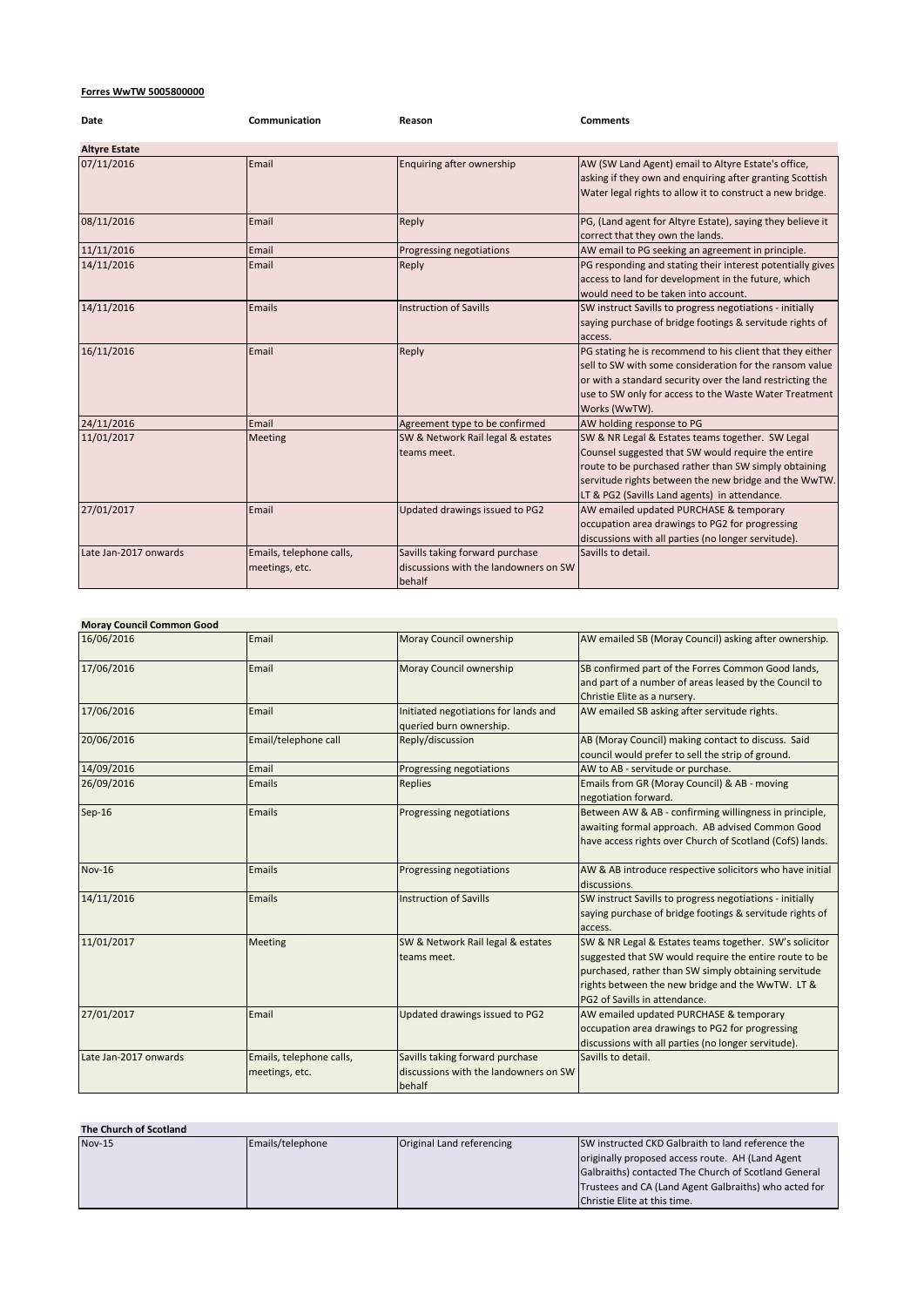## **Forres WwTW 5005800000**

| Date                  | Communication                              | Reason                                                                             | <b>Comments</b>                                                                                                                                                                                                                                                           |
|-----------------------|--------------------------------------------|------------------------------------------------------------------------------------|---------------------------------------------------------------------------------------------------------------------------------------------------------------------------------------------------------------------------------------------------------------------------|
| <b>Altyre Estate</b>  |                                            |                                                                                    |                                                                                                                                                                                                                                                                           |
| 07/11/2016            | Email                                      | Enquiring after ownership                                                          | AW (SW Land Agent) email to Altyre Estate's office,<br>asking if they own and enquiring after granting Scottish<br>Water legal rights to allow it to construct a new bridge.                                                                                              |
| 08/11/2016            | Email                                      | Reply                                                                              | PG, (Land agent for Altyre Estate), saying they believe it<br>correct that they own the lands.                                                                                                                                                                            |
| 11/11/2016            | Email                                      | Progressing negotiations                                                           | AW email to PG seeking an agreement in principle.                                                                                                                                                                                                                         |
| 14/11/2016            | Email                                      | Reply                                                                              | PG responding and stating their interest potentially gives<br>access to land for development in the future, which<br>would need to be taken into account.                                                                                                                 |
| 14/11/2016            | Emails                                     | <b>Instruction of Savills</b>                                                      | SW instruct Savills to progress negotiations - initially<br>saying purchase of bridge footings & servitude rights of<br>access.                                                                                                                                           |
| 16/11/2016            | Email                                      | Reply                                                                              | PG stating he is recommend to his client that they either<br>sell to SW with some consideration for the ransom value<br>or with a standard security over the land restricting the<br>use to SW only for access to the Waste Water Treatment<br>Works (WwTW).              |
| 24/11/2016            | Email                                      | Agreement type to be confirmed                                                     | AW holding response to PG                                                                                                                                                                                                                                                 |
| 11/01/2017            | <b>Meeting</b>                             | SW & Network Rail legal & estates<br>teams meet.                                   | SW & NR Legal & Estates teams together. SW Legal<br>Counsel suggested that SW would require the entire<br>route to be purchased rather than SW simply obtaining<br>servitude rights between the new bridge and the WwTW.<br>LT & PG2 (Savills Land agents) in attendance. |
| 27/01/2017            | Email                                      | Updated drawings issued to PG2                                                     | AW emailed updated PURCHASE & temporary<br>occupation area drawings to PG2 for progressing<br>discussions with all parties (no longer servitude).                                                                                                                         |
| Late Jan-2017 onwards | Emails, telephone calls,<br>meetings, etc. | Savills taking forward purchase<br>discussions with the landowners on SW<br>behalf | Savills to detail.                                                                                                                                                                                                                                                        |

| <b>Moray Council Common Good</b> |                                            |                                                                                    |                                                                                                                                                                                                                                                               |
|----------------------------------|--------------------------------------------|------------------------------------------------------------------------------------|---------------------------------------------------------------------------------------------------------------------------------------------------------------------------------------------------------------------------------------------------------------|
| 16/06/2016                       | Email                                      | Moray Council ownership                                                            | AW emailed SB (Moray Council) asking after ownership.                                                                                                                                                                                                         |
| 17/06/2016                       | Email                                      | Moray Council ownership                                                            | SB confirmed part of the Forres Common Good lands,<br>and part of a number of areas leased by the Council to<br>Christie Elite as a nursery.                                                                                                                  |
| 17/06/2016                       | Email                                      | Initiated negotiations for lands and<br>queried burn ownership.                    | AW emailed SB asking after servitude rights.                                                                                                                                                                                                                  |
| 20/06/2016                       | Email/telephone call                       | Reply/discussion                                                                   | AB (Moray Council) making contact to discuss. Said<br>council would prefer to sell the strip of ground.                                                                                                                                                       |
| 14/09/2016                       | Email                                      | Progressing negotiations                                                           | AW to AB - servitude or purchase.                                                                                                                                                                                                                             |
| 26/09/2016                       | <b>Emails</b>                              | <b>Replies</b>                                                                     | Emails from GR (Moray Council) & AB - moving<br>negotiation forward.                                                                                                                                                                                          |
| $Sep-16$                         | Emails                                     | <b>Progressing negotiations</b>                                                    | Between AW & AB - confirming willingness in principle,<br>awaiting formal approach. AB advised Common Good<br>have access rights over Church of Scotland (CofS) lands.                                                                                        |
| <b>Nov-16</b>                    | <b>Emails</b>                              | <b>Progressing negotiations</b>                                                    | AW & AB introduce respective solicitors who have initial<br>discussions.                                                                                                                                                                                      |
| 14/11/2016                       | <b>Emails</b>                              | <b>Instruction of Savills</b>                                                      | SW instruct Savills to progress negotiations - initially<br>saying purchase of bridge footings & servitude rights of<br>access.                                                                                                                               |
| 11/01/2017                       | <b>Meeting</b>                             | SW & Network Rail legal & estates<br>teams meet.                                   | SW & NR Legal & Estates teams together. SW's solicitor<br>suggested that SW would require the entire route to be<br>purchased, rather than SW simply obtaining servitude<br>rights between the new bridge and the WwTW. LT &<br>PG2 of Savills in attendance. |
| 27/01/2017                       | Email                                      | Updated drawings issued to PG2                                                     | AW emailed updated PURCHASE & temporary<br>occupation area drawings to PG2 for progressing<br>discussions with all parties (no longer servitude).                                                                                                             |
| Late Jan-2017 onwards            | Emails, telephone calls,<br>meetings, etc. | Savills taking forward purchase<br>discussions with the landowners on SW<br>behalf | Savills to detail.                                                                                                                                                                                                                                            |

| The Church of Scotland |                  |                           |                                                       |
|------------------------|------------------|---------------------------|-------------------------------------------------------|
| $Nov-15$               | Emails/telephone | Original Land referencing | SW instructed CKD Galbraith to land reference the     |
|                        |                  |                           | originally proposed access route. AH (Land Agent      |
|                        |                  |                           | Galbraiths) contacted The Church of Scotland General  |
|                        |                  |                           | Trustees and CA (Land Agent Galbraiths) who acted for |
|                        |                  |                           | Christie Elite at this time.                          |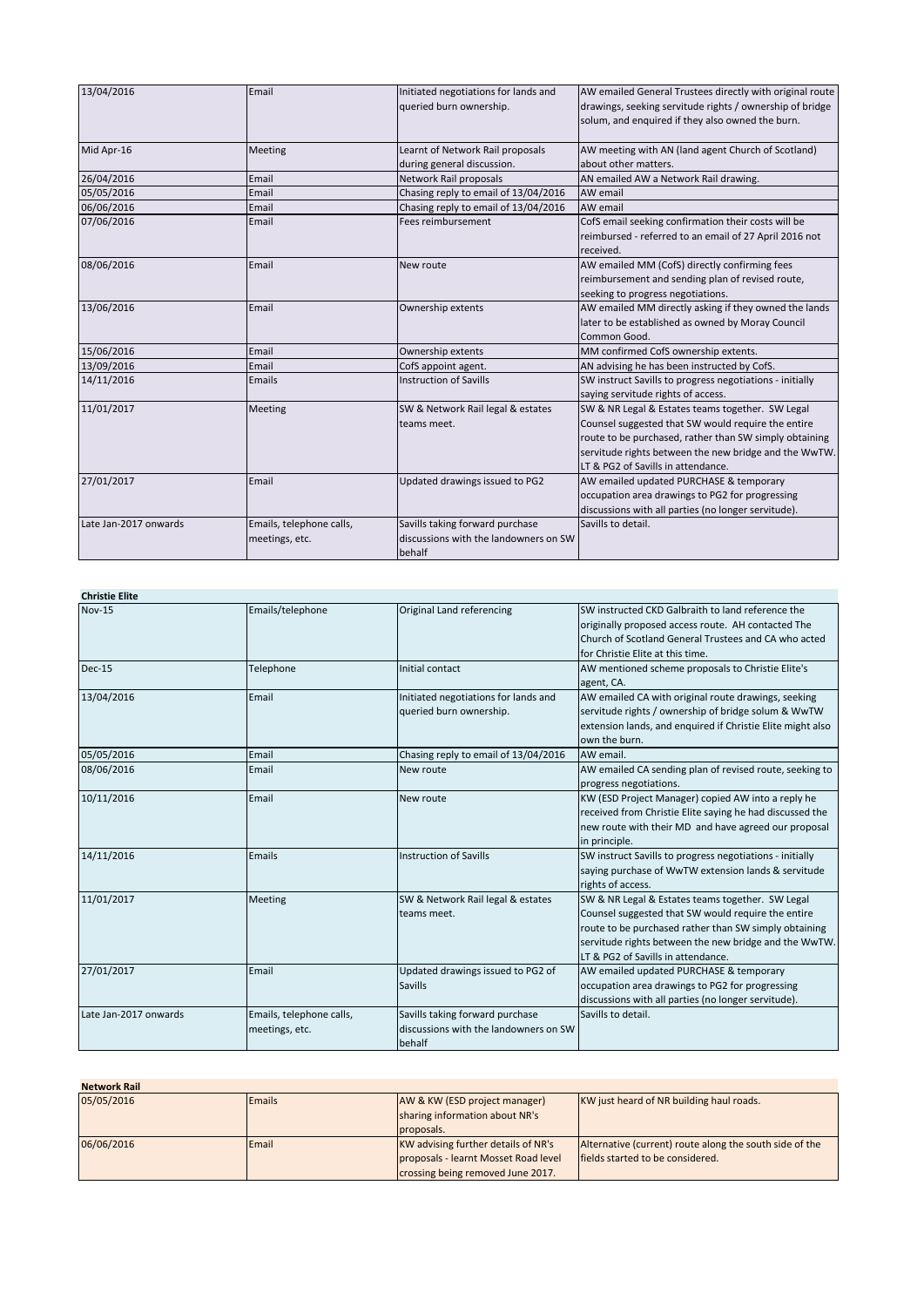| 13/04/2016            | Email                                      | Initiated negotiations for lands and<br>queried burn ownership.                    | AW emailed General Trustees directly with original route<br>drawings, seeking servitude rights / ownership of bridge<br>solum, and enquired if they also owned the burn.                                                                                        |
|-----------------------|--------------------------------------------|------------------------------------------------------------------------------------|-----------------------------------------------------------------------------------------------------------------------------------------------------------------------------------------------------------------------------------------------------------------|
| Mid Apr-16            | <b>Meeting</b>                             | Learnt of Network Rail proposals<br>during general discussion.                     | AW meeting with AN (land agent Church of Scotland)<br>about other matters.                                                                                                                                                                                      |
| 26/04/2016            | Email                                      | Network Rail proposals                                                             | AN emailed AW a Network Rail drawing.                                                                                                                                                                                                                           |
| 05/05/2016            | Email                                      | Chasing reply to email of 13/04/2016                                               | AW email                                                                                                                                                                                                                                                        |
| 06/06/2016            | Email                                      | Chasing reply to email of 13/04/2016                                               | AW email                                                                                                                                                                                                                                                        |
| 07/06/2016            | Email                                      | Fees reimbursement                                                                 | CofS email seeking confirmation their costs will be<br>reimbursed - referred to an email of 27 April 2016 not<br>received.                                                                                                                                      |
| 08/06/2016            | Email                                      | New route                                                                          | AW emailed MM (CofS) directly confirming fees<br>reimbursement and sending plan of revised route,<br>seeking to progress negotiations.                                                                                                                          |
| 13/06/2016            | Email                                      | Ownership extents                                                                  | AW emailed MM directly asking if they owned the lands<br>later to be established as owned by Moray Council<br>Common Good.                                                                                                                                      |
| 15/06/2016            | Email                                      | Ownership extents                                                                  | MM confirmed CofS ownership extents.                                                                                                                                                                                                                            |
| 13/09/2016            | Email                                      | CofS appoint agent.                                                                | AN advising he has been instructed by CofS.                                                                                                                                                                                                                     |
| 14/11/2016            | Emails                                     | <b>Instruction of Savills</b>                                                      | SW instruct Savills to progress negotiations - initially<br>saying servitude rights of access.                                                                                                                                                                  |
| 11/01/2017            | Meeting                                    | SW & Network Rail legal & estates<br>teams meet.                                   | SW & NR Legal & Estates teams together. SW Legal<br>Counsel suggested that SW would require the entire<br>route to be purchased, rather than SW simply obtaining<br>servitude rights between the new bridge and the WwTW.<br>LT & PG2 of Savills in attendance. |
| 27/01/2017            | Email                                      | Updated drawings issued to PG2                                                     | AW emailed updated PURCHASE & temporary<br>occupation area drawings to PG2 for progressing<br>discussions with all parties (no longer servitude).                                                                                                               |
| Late Jan-2017 onwards | Emails, telephone calls,<br>meetings, etc. | Savills taking forward purchase<br>discussions with the landowners on SW<br>behalf | Savills to detail.                                                                                                                                                                                                                                              |

| <b>Christie Elite</b> |                                            |                                                                                    |                                                                                                                                                                                                                                                                |
|-----------------------|--------------------------------------------|------------------------------------------------------------------------------------|----------------------------------------------------------------------------------------------------------------------------------------------------------------------------------------------------------------------------------------------------------------|
| <b>Nov-15</b>         | Emails/telephone                           | Original Land referencing                                                          | SW instructed CKD Galbraith to land reference the<br>originally proposed access route. AH contacted The<br>Church of Scotland General Trustees and CA who acted<br>for Christie Elite at this time.                                                            |
| <b>Dec-15</b>         | Telephone                                  | Initial contact                                                                    | AW mentioned scheme proposals to Christie Elite's<br>agent, CA.                                                                                                                                                                                                |
| 13/04/2016            | Email                                      | Initiated negotiations for lands and<br>queried burn ownership.                    | AW emailed CA with original route drawings, seeking<br>servitude rights / ownership of bridge solum & WwTW<br>extension lands, and enquired if Christie Elite might also<br>own the burn.                                                                      |
| 05/05/2016            | Email                                      | Chasing reply to email of 13/04/2016                                               | AW email.                                                                                                                                                                                                                                                      |
| 08/06/2016            | Email                                      | New route                                                                          | AW emailed CA sending plan of revised route, seeking to<br>progress negotiations.                                                                                                                                                                              |
| 10/11/2016            | Email                                      | New route                                                                          | KW (ESD Project Manager) copied AW into a reply he<br>received from Christie Elite saying he had discussed the<br>new route with their MD and have agreed our proposal<br>in principle.                                                                        |
| 14/11/2016            | Emails                                     | <b>Instruction of Savills</b>                                                      | SW instruct Savills to progress negotiations - initially<br>saying purchase of WwTW extension lands & servitude<br>rights of access.                                                                                                                           |
| 11/01/2017            | Meeting                                    | SW & Network Rail legal & estates<br>teams meet.                                   | SW & NR Legal & Estates teams together. SW Legal<br>Counsel suggested that SW would require the entire<br>route to be purchased rather than SW simply obtaining<br>servitude rights between the new bridge and the WwTW.<br>LT & PG2 of Savills in attendance. |
| 27/01/2017            | Email                                      | Updated drawings issued to PG2 of<br>Savills                                       | AW emailed updated PURCHASE & temporary<br>occupation area drawings to PG2 for progressing<br>discussions with all parties (no longer servitude).                                                                                                              |
| Late Jan-2017 onwards | Emails, telephone calls,<br>meetings, etc. | Savills taking forward purchase<br>discussions with the landowners on SW<br>behalf | Savills to detail.                                                                                                                                                                                                                                             |

**Network Rail** 05/05/2016 **Emails** Emails **AW & KW (ESD project manager) Emails** AW & KW (ESD project manager) sharing information about NR's proposals. KW just heard of NR building haul roads. 06/06/2016 **Email** Email KW advising further details of NR's proposals - learnt Mosset Road level crossing being removed June 2017. Alternative (current) route along the south side of the fields started to be considered.